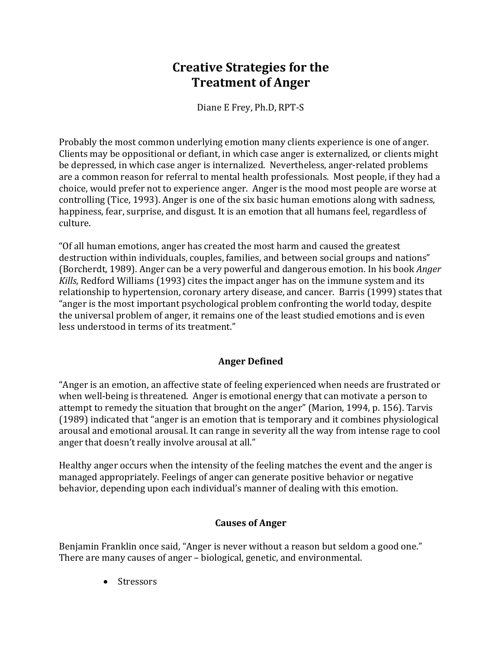# **Creative Strategies for the Treatment of Anger**

Diane E Frey, Ph.D, RPT‐S

Probably the most common underlying emotion many clients experience is one of anger. Clients may be oppositional or defiant, in which case anger is externalized, or clients might be depressed, in which case anger is internalized. Nevertheless, anger-related problems are a common reason for referral to mental health professionals. Most people, if they had a choice, would prefer not to experience anger. Anger is the mood most people are worse at controlling (Tice, 1993). Anger is one of the six basic human emotions along with sadness, happiness, fear, surprise, and disgust. It is an emotion that all humans feel, regardless of culture.

"Of all human emotions, anger has created the most harm and caused the greatest destruction within individuals, couples, families, and between social groups and nations" (Borcherdt, 1989). Anger can be a very powerful and dangerous emotion. In his book *Anger Kills*, Redford Williams (1993) cites the impact anger has on the immune system and its relationship to hypertension, coronary artery disease, and cancer. Barris (1999) states that "anger is the most important psychological problem confronting the world today, despite the universal problem of anger, it remains one of the least studied emotions and is even less understood in terms of its treatment."

## **Anger Defined**

"Anger is an emotion, an affective state of feeling experienced when needs are frustrated or when well-being is threatened. Anger is emotional energy that can motivate a person to attempt to remedy the situation that brought on the anger" (Marion, 1994, p. 156). Tarvis (1989) indicated that "anger is an emotion that is temporary and it combines physiological arousal and emotional arousal. It can range in severity all the way from intense rage to cool anger that doesn't really involve arousal at all."

Healthy anger occurs when the intensity of the feeling matches the event and the anger is managed appropriately. Feelings of anger can generate positive behavior or negative behavior, depending upon each individual's manner of dealing with this emotion.

## **Causes of Anger**

Benjamin Franklin once said, "Anger is never without a reason but seldom a good one." There are many causes of anger – biological, genetic, and environmental.

• Stressors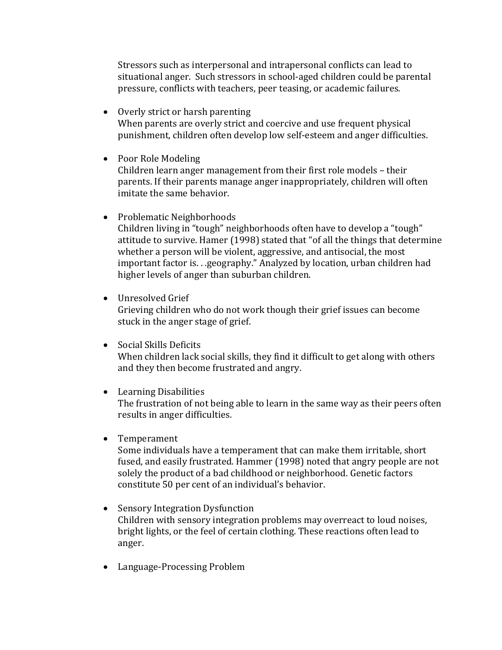Stressors such as interpersonal and intrapersonal conflicts can lead to situational anger. Such stressors in school‐aged children could be parental pressure, conflicts with teachers, peer teasing, or academic failures.

- Overly strict or harsh parenting When parents are overly strict and coercive and use frequent physical punishment, children often develop low self‐esteem and anger difficulties.
- Poor Role Modeling Children learn anger management from their first role models – their parents. If their parents manage anger inappropriately, children will often imitate the same behavior.
- Problematic Neighborhoods

Children living in "tough" neighborhoods often have to develop a "tough" attitude to survive. Hamer (1998) stated that "of all the things that determine whether a person will be violent, aggressive, and antisocial, the most important factor is. . .geography." Analyzed by location, urban children had higher levels of anger than suburban children.

- Unresolved Grief Grieving children who do not work though their grief issues can become stuck in the anger stage of grief.
- Social Skills Deficits

When children lack social skills, they find it difficult to get along with others and they then become frustrated and angry.

• Learning Disabilities

The frustration of not being able to learn in the same way as their peers often results in anger difficulties.

• Temperament

Some individuals have a temperament that can make them irritable, short fused, and easily frustrated. Hammer (1998) noted that angry people are not solely the product of a bad childhood or neighborhood. Genetic factors constitute 50 per cent of an individual's behavior.

- Sensory Integration Dysfunction Children with sensory integration problems may overreact to loud noises, bright lights, or the feel of certain clothing. These reactions often lead to anger.
- Language-Processing Problem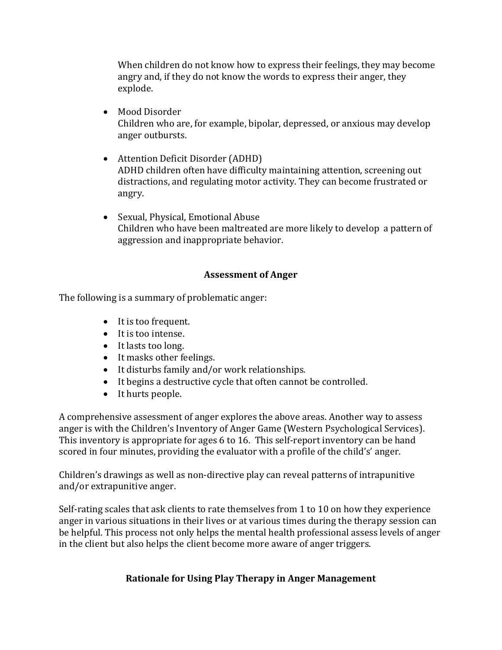When children do not know how to express their feelings, they may become angry and, if they do not know the words to express their anger, they explode.

- Mood Disorder Children who are, for example, bipolar, depressed, or anxious may develop anger outbursts.
- Attention Deficit Disorder (ADHD) ADHD children often have difficulty maintaining attention, screening out distractions, and regulating motor activity. They can become frustrated or angry.
- Sexual, Physical, Emotional Abuse Children who have been maltreated are more likely to develop a pattern of aggression and inappropriate behavior.

#### **Assessment of Anger**

The following is a summary of problematic anger:

- It is too frequent.
- It is too intense.
- It lasts too long.
- It masks other feelings.
- It disturbs family and/or work relationships.
- It begins a destructive cycle that often cannot be controlled.
- It hurts people.

A comprehensive assessment of anger explores the above areas. Another way to assess anger is with the Children's Inventory of Anger Game (Western Psychological Services). This inventory is appropriate for ages 6 to 16. This self-report inventory can be hand scored in four minutes, providing the evaluator with a profile of the child's' anger.

Children's drawings as well as non‐directive play can reveal patterns of intrapunitive and/or extrapunitive anger.

Self-rating scales that ask clients to rate themselves from 1 to 10 on how they experience anger in various situations in their lives or at various times during the therapy session can be helpful. This process not only helps the mental health professional assess levels of anger in the client but also helps the client become more aware of anger triggers.

## **Rationale for Using Play Therapy in Anger Management**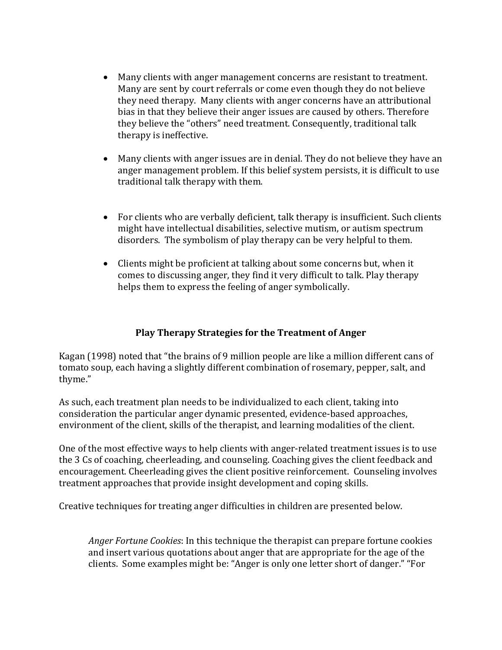- Many clients with anger management concerns are resistant to treatment. Many are sent by court referrals or come even though they do not believe they need therapy. Many clients with anger concerns have an attributional bias in that they believe their anger issues are caused by others. Therefore they believe the "others" need treatment. Consequently, traditional talk therapy is ineffective.
- Many clients with anger issues are in denial. They do not believe they have an anger management problem. If this belief system persists, it is difficult to use traditional talk therapy with them.
- For clients who are verbally deficient, talk therapy is insufficient. Such clients might have intellectual disabilities, selective mutism, or autism spectrum disorders. The symbolism of play therapy can be very helpful to them.
- Clients might be proficient at talking about some concerns but, when it comes to discussing anger, they find it very difficult to talk. Play therapy helps them to express the feeling of anger symbolically.

## **Play Therapy Strategies for the Treatment of Anger**

Kagan (1998) noted that "the brains of 9 million people are like a million different cans of tomato soup, each having a slightly different combination of rosemary, pepper, salt, and thyme."

As such, each treatment plan needs to be individualized to each client, taking into consideration the particular anger dynamic presented, evidence‐based approaches, environment of the client, skills of the therapist, and learning modalities of the client.

One of the most effective ways to help clients with anger-related treatment issues is to use the 3 Cs of coaching, cheerleading, and counseling. Coaching gives the client feedback and encouragement. Cheerleading gives the client positive reinforcement. Counseling involves treatment approaches that provide insight development and coping skills.

Creative techniques for treating anger difficulties in children are presented below.

*Anger Fortune Cookies*: In this technique the therapist can prepare fortune cookies and insert various quotations about anger that are appropriate for the age of the clients. Some examples might be: "Anger is only one letter short of danger." "For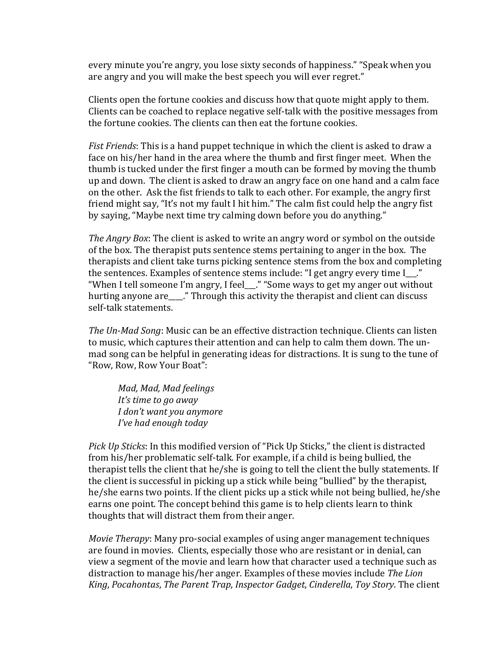every minute you're angry, you lose sixty seconds of happiness." "Speak when you are angry and you will make the best speech you will ever regret."

Clients open the fortune cookies and discuss how that quote might apply to them. Clients can be coached to replace negative self‐talk with the positive messages from the fortune cookies. The clients can then eat the fortune cookies.

*Fist Friends*: This is a hand puppet technique in which the client is asked to draw a face on his/her hand in the area where the thumb and first finger meet. When the thumb is tucked under the first finger a mouth can be formed by moving the thumb up and down. The client is asked to draw an angry face on one hand and a calm face on the other. Ask the fist friends to talk to each other. For example, the angry first friend might say, "It's not my fault I hit him." The calm fist could help the angry fist by saying, "Maybe next time try calming down before you do anything."

*The Angry Box*: The client is asked to write an angry word or symbol on the outside of the box. The therapist puts sentence stems pertaining to anger in the box. The therapists and client take turns picking sentence stems from the box and completing the sentences. Examples of sentence stems include: "I get angry every time I ." "When I tell someone I'm angry, I feel\_\_\_." "Some ways to get my anger out without hurting anyone are ..." Through this activity the therapist and client can discuss self‐talk statements.

*The UnMad Song*: Music can be an effective distraction technique. Clients can listen to music, which captures their attention and can help to calm them down. The un‐ mad song can be helpful in generating ideas for distractions. It is sung to the tune of "Row, Row, Row Your Boat":

*Mad, Mad, Mad feelings It's time to go away I don't want you anymore I've had enough today*

*Pick Up Sticks*: In this modified version of "Pick Up Sticks," the client is distracted from his/her problematic self‐talk. For example, if a child is being bullied, the therapist tells the client that he/she is going to tell the client the bully statements. If the client is successful in picking up a stick while being "bullied" by the therapist, he/she earns two points. If the client picks up a stick while not being bullied, he/she earns one point. The concept behind this game is to help clients learn to think thoughts that will distract them from their anger.

*Movie Therapy*: Many pro‐social examples of using anger management techniques are found in movies. Clients, especially those who are resistant or in denial, can view a segment of the movie and learn how that character used a technique such as distraction to manage his/her anger. Examples of these movies include *The Lion King*, *Pocahontas*, *The Parent Trap*, *Inspector Gadget*, *Cinderella*, *Toy Story*. The client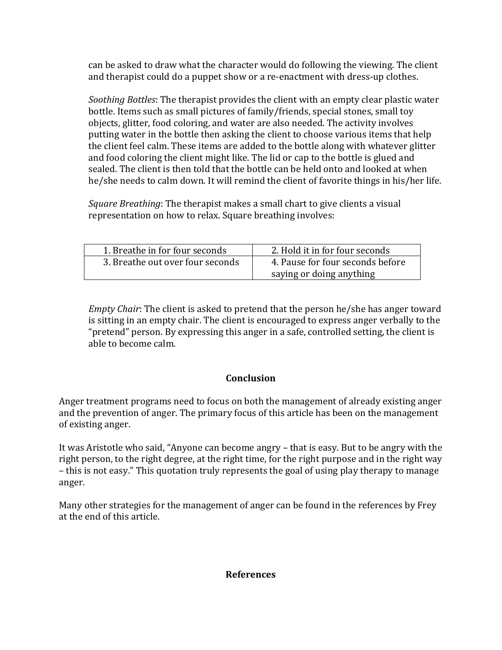can be asked to draw what the character would do following the viewing. The client and therapist could do a puppet show or a re-enactment with dress-up clothes.

*Soothing Bottles*: The therapist provides the client with an empty clear plastic water bottle. Items such as small pictures of family/friends, special stones, small toy objects, glitter, food coloring, and water are also needed. The activity involves putting water in the bottle then asking the client to choose various items that help the client feel calm. These items are added to the bottle along with whatever glitter and food coloring the client might like. The lid or cap to the bottle is glued and sealed. The client is then told that the bottle can be held onto and looked at when he/she needs to calm down. It will remind the client of favorite things in his/her life.

*Square Breathing*: The therapist makes a small chart to give clients a visual representation on how to relax. Square breathing involves:

| 1. Breathe in for four seconds   | 2. Hold it in for four seconds   |
|----------------------------------|----------------------------------|
| 3. Breathe out over four seconds | 4. Pause for four seconds before |
|                                  | saying or doing anything         |

*Empty Chair*: The client is asked to pretend that the person he/she has anger toward is sitting in an empty chair. The client is encouraged to express anger verbally to the "pretend" person. By expressing this anger in a safe, controlled setting, the client is able to become calm.

## **Conclusion**

Anger treatment programs need to focus on both the management of already existing anger and the prevention of anger. The primary focus of this article has been on the management of existing anger.

It was Aristotle who said, "Anyone can become angry – that is easy. But to be angry with the right person, to the right degree, at the right time, for the right purpose and in the right way – this is not easy." This quotation truly represents the goal of using play therapy to manage anger.

Many other strategies for the management of anger can be found in the references by Frey at the end of this article.

#### **References**